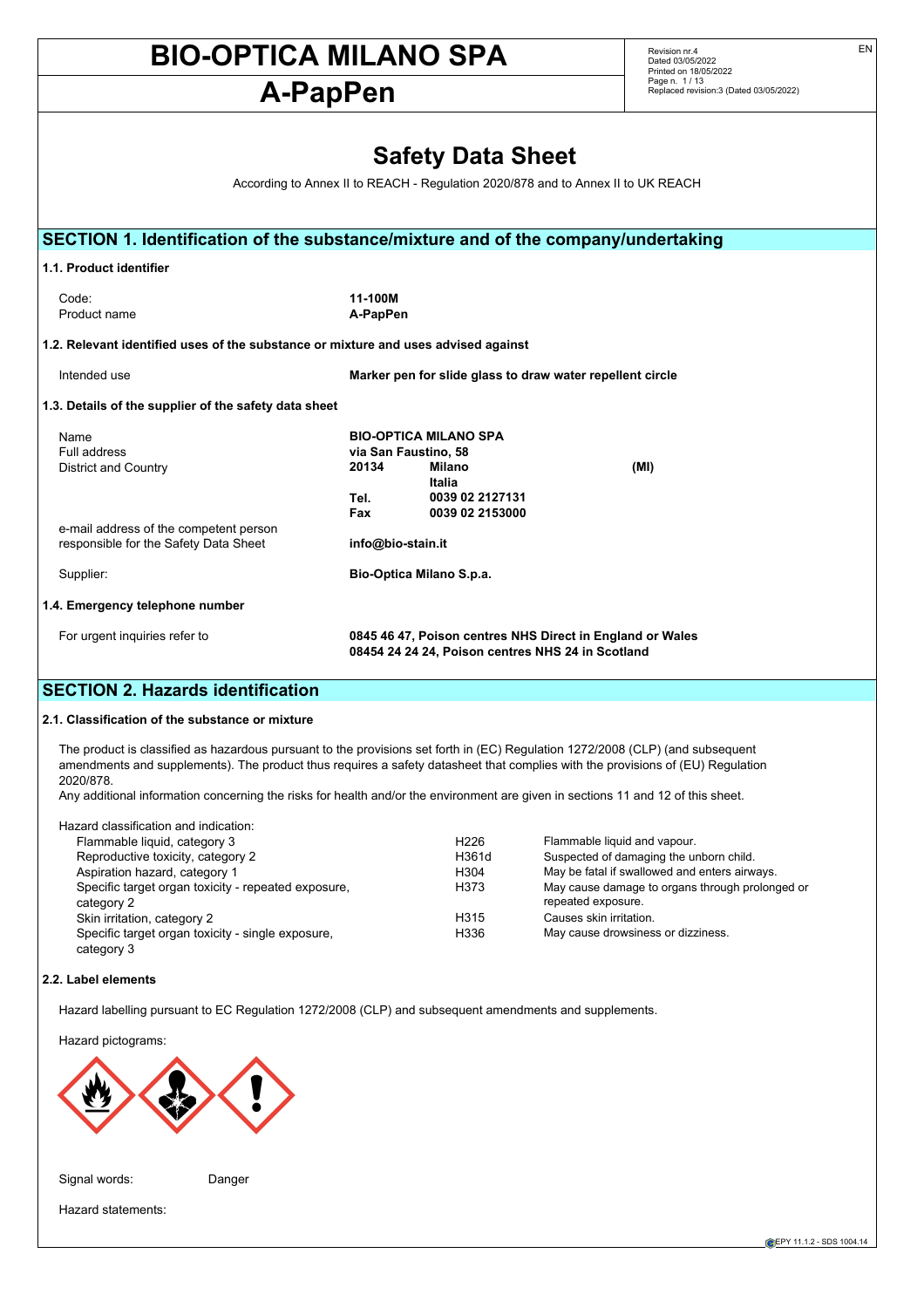# **A-PapPen**

Revision nr.4 Dated 03/05/2022 Printed on 18/05/2022 Page n. 1 / 13 Replaced revision:3 (Dated 03/05/2022)

|                                                                                    |                          | <b>Safety Data Sheet</b>                                  |                                                                                  |
|------------------------------------------------------------------------------------|--------------------------|-----------------------------------------------------------|----------------------------------------------------------------------------------|
|                                                                                    |                          |                                                           | According to Annex II to REACH - Regulation 2020/878 and to Annex II to UK REACH |
|                                                                                    |                          |                                                           |                                                                                  |
| SECTION 1. Identification of the substance/mixture and of the company/undertaking  |                          |                                                           |                                                                                  |
| 1.1. Product identifier                                                            |                          |                                                           |                                                                                  |
| Code:<br>Product name                                                              | 11-100M<br>A-PapPen      |                                                           |                                                                                  |
| 1.2. Relevant identified uses of the substance or mixture and uses advised against |                          |                                                           |                                                                                  |
| Intended use                                                                       |                          | Marker pen for slide glass to draw water repellent circle |                                                                                  |
| 1.3. Details of the supplier of the safety data sheet                              |                          |                                                           |                                                                                  |
| Name<br>Full address                                                               | via San Faustino, 58     | <b>BIO-OPTICA MILANO SPA</b>                              |                                                                                  |
| <b>District and Country</b>                                                        | 20134                    | Milano<br><b>Italia</b>                                   | (MI)                                                                             |
|                                                                                    | Tel.<br>Fax              | 0039 02 2127131<br>0039 02 2153000                        |                                                                                  |
| e-mail address of the competent person<br>responsible for the Safety Data Sheet    | info@bio-stain.it        |                                                           |                                                                                  |
| Supplier:                                                                          | Bio-Optica Milano S.p.a. |                                                           |                                                                                  |
| 1.4. Emergency telephone number                                                    |                          |                                                           |                                                                                  |
| For urgent inquiries refer to                                                      |                          | 08454 24 24 24, Poison centres NHS 24 in Scotland         | 0845 46 47, Poison centres NHS Direct in England or Wales                        |

## **SECTION 2. Hazards identification**

#### **2.1. Classification of the substance or mixture**

The product is classified as hazardous pursuant to the provisions set forth in (EC) Regulation 1272/2008 (CLP) (and subsequent amendments and supplements). The product thus requires a safety datasheet that complies with the provisions of (EU) Regulation 2020/878.

Any additional information concerning the risks for health and/or the environment are given in sections 11 and 12 of this sheet.

| Hazard classification and indication:                             |                  |                                                                       |
|-------------------------------------------------------------------|------------------|-----------------------------------------------------------------------|
| Flammable liquid, category 3                                      | H <sub>226</sub> | Flammable liquid and vapour.                                          |
| Reproductive toxicity, category 2                                 | H361d            | Suspected of damaging the unborn child.                               |
| Aspiration hazard, category 1                                     | H304             | May be fatal if swallowed and enters airways.                         |
| Specific target organ toxicity - repeated exposure,<br>category 2 | H373             | May cause damage to organs through prolonged or<br>repeated exposure. |
| Skin irritation, category 2                                       | H315             | Causes skin irritation.                                               |
| Specific target organ toxicity - single exposure,                 | H336             | May cause drowsiness or dizziness.                                    |

#### **2.2. Label elements**

category 3

Hazard labelling pursuant to EC Regulation 1272/2008 (CLP) and subsequent amendments and supplements.

Hazard pictograms:



Signal words: Danger

Hazard statements: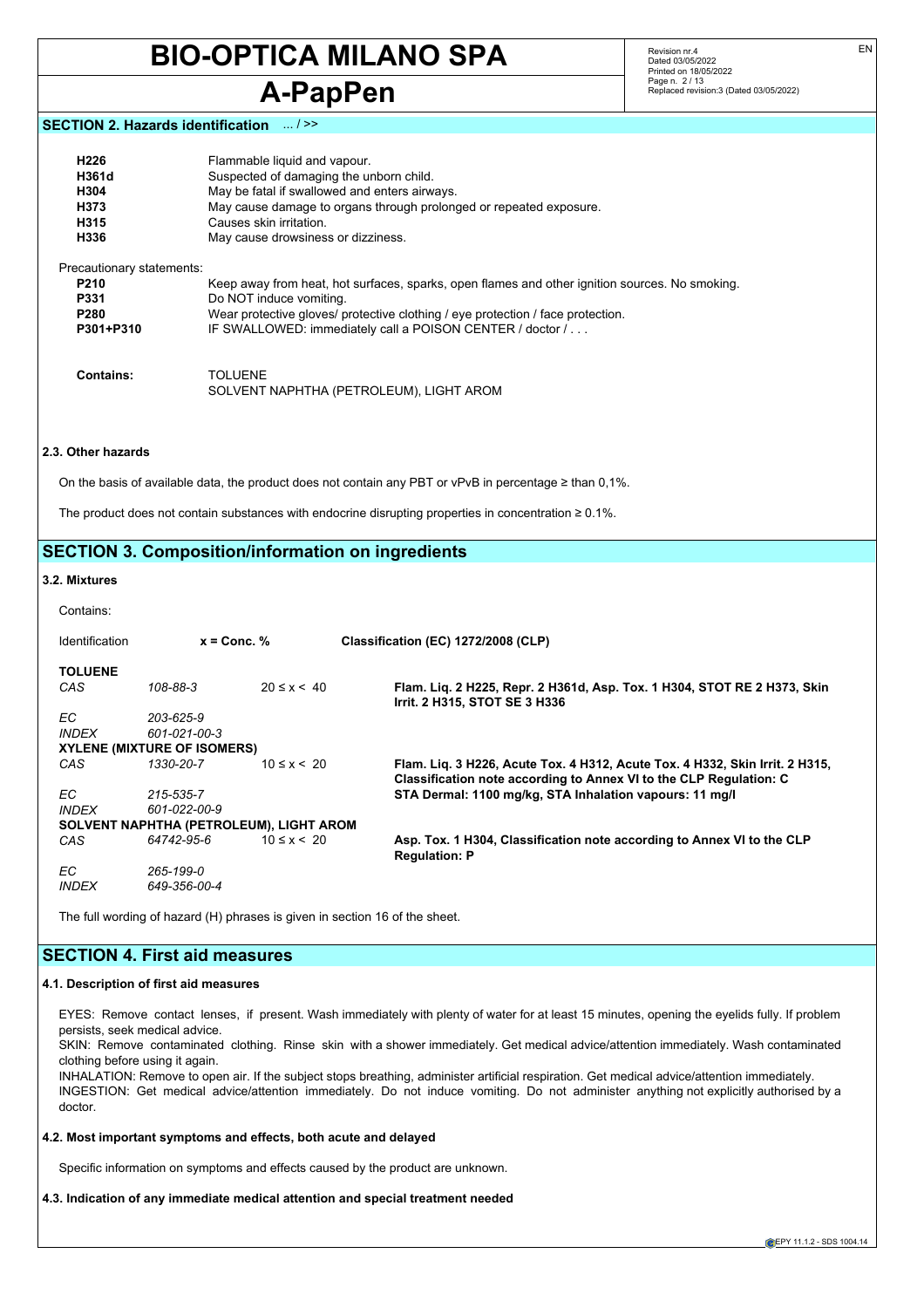## **A-PapPen**

Revision nr.4 Dated 03/05/2022 Printed on 18/05/2022 Page n. 2 / 13 Replaced revision:3 (Dated 03/05/2022)

#### **SECTION 2. Hazards identification** ... / >>

| H226<br>H361d<br>H304<br>H373<br>H315<br>H336 | Flammable liquid and vapour.<br>Suspected of damaging the unborn child.<br>May be fatal if swallowed and enters airways.<br>May cause damage to organs through prolonged or repeated exposure.<br>Causes skin irritation.<br>May cause drowsiness or dizziness. |
|-----------------------------------------------|-----------------------------------------------------------------------------------------------------------------------------------------------------------------------------------------------------------------------------------------------------------------|
| Precautionary statements:                     |                                                                                                                                                                                                                                                                 |
| <b>P210</b>                                   | Keep away from heat, hot surfaces, sparks, open flames and other ignition sources. No smoking.                                                                                                                                                                  |
| <b>P331</b>                                   | Do NOT induce vomiting.                                                                                                                                                                                                                                         |
| P <sub>280</sub>                              | Wear protective gloves/ protective clothing / eye protection / face protection.                                                                                                                                                                                 |
| P301+P310                                     | IF SWALLOWED: immediately call a POISON CENTER / doctor /                                                                                                                                                                                                       |
| Contains:                                     | TOLUENE<br>SOLVENT NAPHTHA (PETROLEUM), LIGHT AROM                                                                                                                                                                                                              |

#### **2.3. Other hazards**

On the basis of available data, the product does not contain any PBT or vPvB in percentage ≥ than 0,1%.

The product does not contain substances with endocrine disrupting properties in concentration ≥ 0.1%.

## **SECTION 3. Composition/information on ingredients**

#### **3.2. Mixtures**

| Contains: |  |
|-----------|--|
|           |  |

| <b>Identification</b> | $x =$ Conc. %                           |                 | Classification (EC) 1272/2008 (CLP)                                                                                                                |
|-----------------------|-----------------------------------------|-----------------|----------------------------------------------------------------------------------------------------------------------------------------------------|
| <b>TOLUENE</b>        |                                         |                 |                                                                                                                                                    |
| CAS                   | 108-88-3                                | $20 \le x < 40$ | Flam. Lig. 2 H225, Repr. 2 H361d, Asp. Tox. 1 H304, STOT RE 2 H373, Skin<br>Irrit. 2 H315, STOT SE 3 H336                                          |
| EC.                   | 203-625-9                               |                 |                                                                                                                                                    |
| <b>INDEX</b>          | 601-021-00-3                            |                 |                                                                                                                                                    |
|                       | <b>XYLENE (MIXTURE OF ISOMERS)</b>      |                 |                                                                                                                                                    |
| CAS                   | 1330-20-7                               | $10 \le x < 20$ | Flam. Lig. 3 H226, Acute Tox. 4 H312, Acute Tox. 4 H332, Skin Irrit. 2 H315,<br>Classification note according to Annex VI to the CLP Regulation: C |
| FC.                   | 215-535-7                               |                 | STA Dermal: 1100 mg/kg, STA Inhalation vapours: 11 mg/l                                                                                            |
| <b>INDEX</b>          | 601-022-00-9                            |                 |                                                                                                                                                    |
|                       | SOLVENT NAPHTHA (PETROLEUM), LIGHT AROM |                 |                                                                                                                                                    |
| CAS                   | 64742-95-6                              | $10 \le x < 20$ | Asp. Tox. 1 H304, Classification note according to Annex VI to the CLP<br><b>Regulation: P</b>                                                     |
| EC.                   | 265-199-0                               |                 |                                                                                                                                                    |
| <i><b>INDEX</b></i>   | 649-356-00-4                            |                 |                                                                                                                                                    |

The full wording of hazard (H) phrases is given in section 16 of the sheet.

## **SECTION 4. First aid measures**

#### **4.1. Description of first aid measures**

EYES: Remove contact lenses, if present. Wash immediately with plenty of water for at least 15 minutes, opening the eyelids fully. If problem persists, seek medical advice.

SKIN: Remove contaminated clothing. Rinse skin with a shower immediately. Get medical advice/attention immediately. Wash contaminated clothing before using it again.

INHALATION: Remove to open air. If the subject stops breathing, administer artificial respiration. Get medical advice/attention immediately. INGESTION: Get medical advice/attention immediately. Do not induce vomiting. Do not administer anything not explicitly authorised by a doctor.

#### **4.2. Most important symptoms and effects, both acute and delayed**

Specific information on symptoms and effects caused by the product are unknown.

**4.3. Indication of any immediate medical attention and special treatment needed**

EN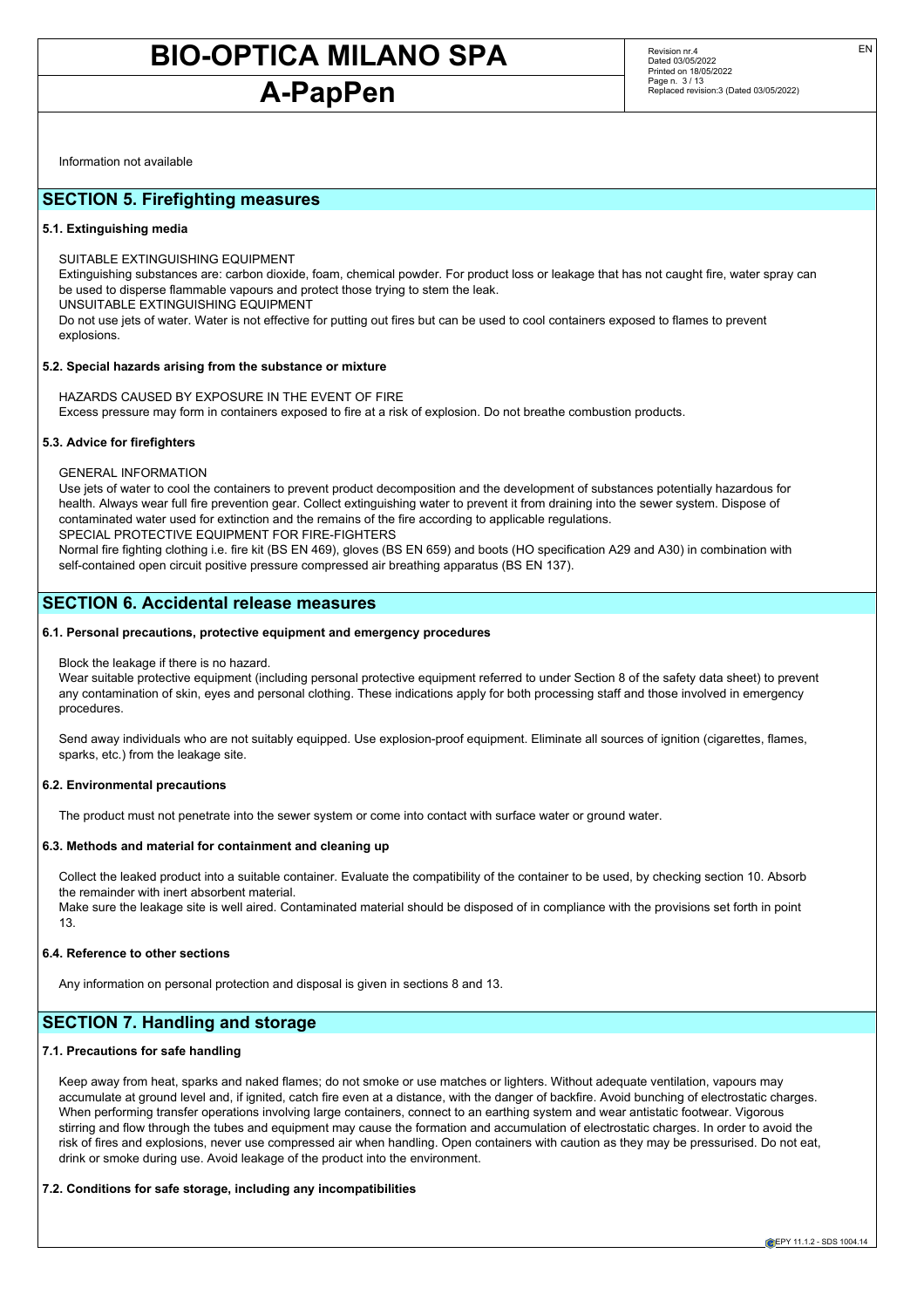## **A-PapPen**

Revision nr.4 Dated 03/05/2022 Printed on 18/05/2022 Page n. 3 / 13 Replaced revision:3 (Dated 03/05/2022) EN

Information not available

### **SECTION 5. Firefighting measures**

#### **5.1. Extinguishing media**

SUITABLE EXTINGUISHING EQUIPMENT

Extinguishing substances are: carbon dioxide, foam, chemical powder. For product loss or leakage that has not caught fire, water spray can be used to disperse flammable vapours and protect those trying to stem the leak. UNSUITABLE EXTINGUISHING EQUIPMENT

Do not use jets of water. Water is not effective for putting out fires but can be used to cool containers exposed to flames to prevent explosions.

#### **5.2. Special hazards arising from the substance or mixture**

HAZARDS CAUSED BY EXPOSURE IN THE EVENT OF FIRE Excess pressure may form in containers exposed to fire at a risk of explosion. Do not breathe combustion products.

#### **5.3. Advice for firefighters**

GENERAL INFORMATION

Use jets of water to cool the containers to prevent product decomposition and the development of substances potentially hazardous for health. Always wear full fire prevention gear. Collect extinguishing water to prevent it from draining into the sewer system. Dispose of contaminated water used for extinction and the remains of the fire according to applicable regulations. SPECIAL PROTECTIVE EQUIPMENT FOR FIRE-FIGHTERS

Normal fire fighting clothing i.e. fire kit (BS EN 469), gloves (BS EN 659) and boots (HO specification A29 and A30) in combination with self-contained open circuit positive pressure compressed air breathing apparatus (BS EN 137).

## **SECTION 6. Accidental release measures**

#### **6.1. Personal precautions, protective equipment and emergency procedures**

#### Block the leakage if there is no hazard.

Wear suitable protective equipment (including personal protective equipment referred to under Section 8 of the safety data sheet) to prevent any contamination of skin, eyes and personal clothing. These indications apply for both processing staff and those involved in emergency procedures.

Send away individuals who are not suitably equipped. Use explosion-proof equipment. Eliminate all sources of ignition (cigarettes, flames, sparks, etc.) from the leakage site.

#### **6.2. Environmental precautions**

The product must not penetrate into the sewer system or come into contact with surface water or ground water.

#### **6.3. Methods and material for containment and cleaning up**

Collect the leaked product into a suitable container. Evaluate the compatibility of the container to be used, by checking section 10. Absorb the remainder with inert absorbent material.

Make sure the leakage site is well aired. Contaminated material should be disposed of in compliance with the provisions set forth in point 13.

#### **6.4. Reference to other sections**

Any information on personal protection and disposal is given in sections 8 and 13.

## **SECTION 7. Handling and storage**

#### **7.1. Precautions for safe handling**

Keep away from heat, sparks and naked flames; do not smoke or use matches or lighters. Without adequate ventilation, vapours may accumulate at ground level and, if ignited, catch fire even at a distance, with the danger of backfire. Avoid bunching of electrostatic charges. When performing transfer operations involving large containers, connect to an earthing system and wear antistatic footwear. Vigorous stirring and flow through the tubes and equipment may cause the formation and accumulation of electrostatic charges. In order to avoid the risk of fires and explosions, never use compressed air when handling. Open containers with caution as they may be pressurised. Do not eat, drink or smoke during use. Avoid leakage of the product into the environment.

#### **7.2. Conditions for safe storage, including any incompatibilities**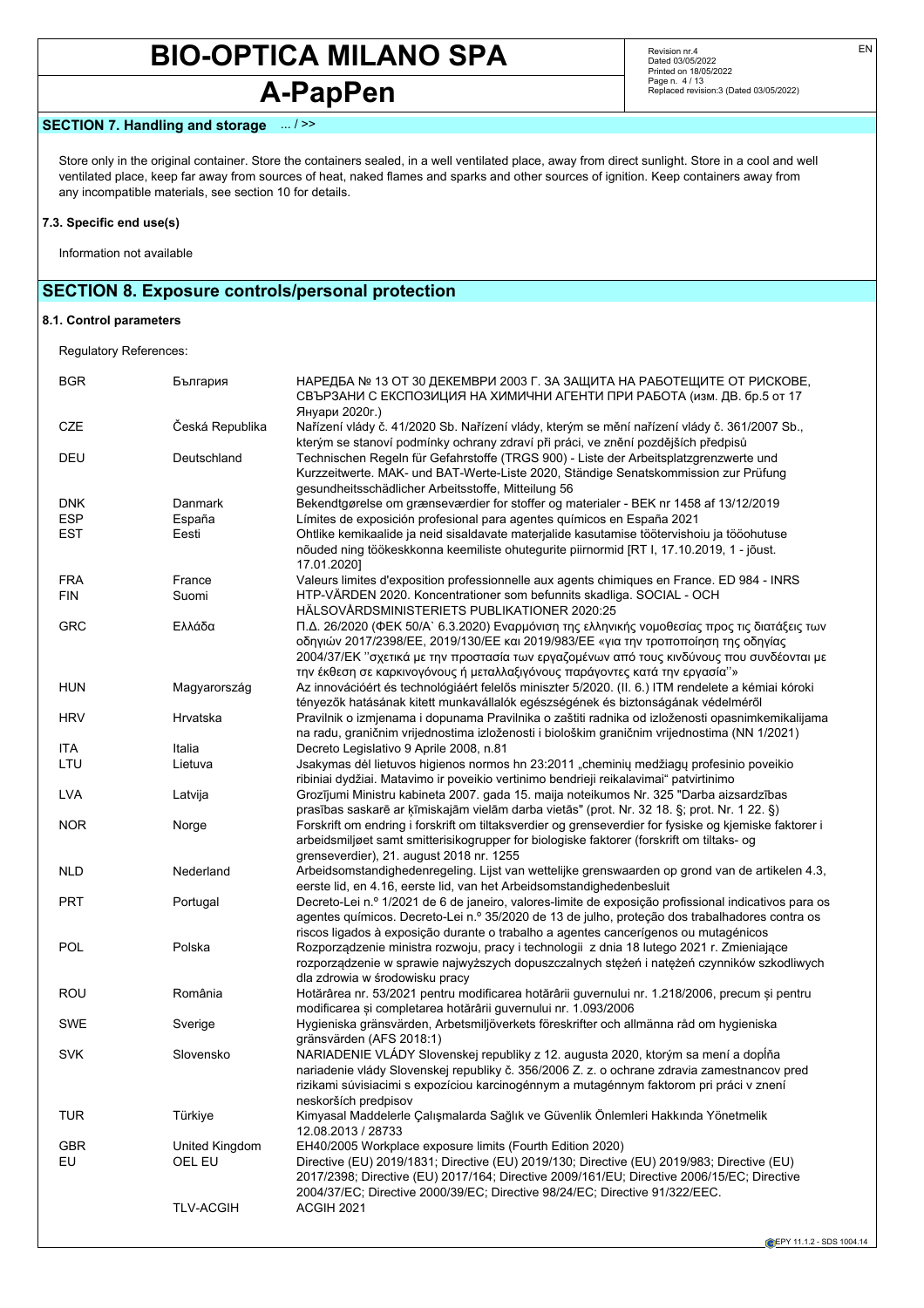# **A-PapPen**

Revision nr.4 Dated 03/05/2022 Printed on 18/05/2022 Page n. 4 / 13 Replaced revision:3 (Dated 03/05/2022)

### **SECTION 7. Handling and storage** ... / >>

Store only in the original container. Store the containers sealed, in a well ventilated place, away from direct sunlight. Store in a cool and well ventilated place, keep far away from sources of heat, naked flames and sparks and other sources of ignition. Keep containers away from any incompatible materials, see section 10 for details.

#### **7.3. Specific end use(s)**

Information not available

## **SECTION 8. Exposure controls/personal protection**

### **8.1. Control parameters**

Regulatory References:

| <b>BGR</b> | България         | НАРЕДБА № 13 ОТ 30 ДЕКЕМВРИ 2003 Г. ЗА ЗАЩИТА НА РАБОТЕЩИТЕ ОТ РИСКОВЕ,<br>СВЪРЗАНИ С ЕКСПОЗИЦИЯ НА ХИМИЧНИ АГЕНТИ ПРИ РАБОТА (изм. ДВ. бр.5 от 17<br>Януари 2020г.)                                                                                                                                                                                           |
|------------|------------------|----------------------------------------------------------------------------------------------------------------------------------------------------------------------------------------------------------------------------------------------------------------------------------------------------------------------------------------------------------------|
| CZE        | Česká Republika  | Nařízení vlády č. 41/2020 Sb. Nařízení vlády, kterým se mění nařízení vlády č. 361/2007 Sb.,<br>kterým se stanoví podmínky ochrany zdraví při práci, ve znění pozdějších předpisů                                                                                                                                                                              |
| DEU        | Deutschland      | Technischen Regeln für Gefahrstoffe (TRGS 900) - Liste der Arbeitsplatzgrenzwerte und<br>Kurzzeitwerte. MAK- und BAT-Werte-Liste 2020, Ständige Senatskommission zur Prüfung<br>gesundheitsschädlicher Arbeitsstoffe, Mitteilung 56                                                                                                                            |
| <b>DNK</b> | Danmark          | Bekendtgørelse om grænseværdier for stoffer og materialer - BEK nr 1458 af 13/12/2019                                                                                                                                                                                                                                                                          |
| <b>ESP</b> | España           | Límites de exposición profesional para agentes químicos en España 2021                                                                                                                                                                                                                                                                                         |
| <b>EST</b> | Eesti            | Ohtlike kemikaalide ja neid sisaldavate materjalide kasutamise töötervishoiu ja tööohutuse<br>nõuded ning töökeskkonna keemiliste ohutegurite piirnormid [RT I, 17.10.2019, 1 - jõust.<br>17.01.2020]                                                                                                                                                          |
| <b>FRA</b> | France           | Valeurs limites d'exposition professionnelle aux agents chimiques en France. ED 984 - INRS                                                                                                                                                                                                                                                                     |
| <b>FIN</b> | Suomi            | HTP-VÄRDEN 2020. Koncentrationer som befunnits skadliga. SOCIAL - OCH<br>HÄLSOVÅRDSMINISTERIETS PUBLIKATIONER 2020:25                                                                                                                                                                                                                                          |
| <b>GRC</b> | Ελλάδα           | Π.Δ. 26/2020 (ΦΕΚ 50/Α` 6.3.2020) Εναρμόνιση της ελληνικής νομοθεσίας προς τις διατάξεις των<br>οδηγιών 2017/2398/ΕΕ, 2019/130/ΕΕ και 2019/983/ΕΕ «για την τροποποίηση της οδηγίας<br>2004/37/ΕΚ "σχετικά με την προστασία των εργαζομένων από τους κινδύνους που συνδέονται με<br>την έκθεση σε καρκινογόνους ή μεταλλαξιγόνους παράγοντες κατά την εργασία"» |
| <b>HUN</b> | Magyarország     | Az innovációért és technológiáért felelős miniszter 5/2020. (II. 6.) ITM rendelete a kémiai kóroki<br>tényezők hatásának kitett munkavállalók egészségének és biztonságának védelméről                                                                                                                                                                         |
| <b>HRV</b> | Hrvatska         | Pravilnik o izmjenama i dopunama Pravilnika o zaštiti radnika od izloženosti opasnimkemikalijama<br>na radu, graničnim vrijednostima izloženosti i biološkim graničnim vrijednostima (NN 1/2021)                                                                                                                                                               |
| <b>ITA</b> | Italia           | Decreto Legislativo 9 Aprile 2008, n.81                                                                                                                                                                                                                                                                                                                        |
| LTU        | Lietuva          | Jsakymas dėl lietuvos higienos normos hn 23:2011 "cheminių medžiagų profesinio poveikio<br>ribiniai dydžiai. Matavimo ir poveikio vertinimo bendrieji reikalavimai" patvirtinimo                                                                                                                                                                               |
| <b>LVA</b> | Latvija          | Grozījumi Ministru kabineta 2007. gada 15. maija noteikumos Nr. 325 "Darba aizsardzības<br>prasības saskarē ar ķīmiskajām vielām darba vietās" (prot. Nr. 32 18. §; prot. Nr. 1 22. §)                                                                                                                                                                         |
| <b>NOR</b> | Norge            | Forskrift om endring i forskrift om tiltaksverdier og grenseverdier for fysiske og kjemiske faktorer i<br>arbeidsmiljøet samt smitterisikogrupper for biologiske faktorer (forskrift om tiltaks- og<br>grenseverdier), 21. august 2018 nr. 1255                                                                                                                |
| <b>NLD</b> | Nederland        | Arbeidsomstandighedenregeling. Lijst van wettelijke grenswaarden op grond van de artikelen 4.3,<br>eerste lid, en 4.16, eerste lid, van het Arbeidsomstandighedenbesluit                                                                                                                                                                                       |
| <b>PRT</b> | Portugal         | Decreto-Lei n.º 1/2021 de 6 de janeiro, valores-limite de exposição profissional indicativos para os<br>agentes químicos. Decreto-Lei n.º 35/2020 de 13 de julho, proteção dos trabalhadores contra os<br>riscos ligados à exposição durante o trabalho a agentes cancerígenos ou mutagénicos                                                                  |
| <b>POL</b> | Polska           | Rozporządzenie ministra rozwoju, pracy i technologii z dnia 18 lutego 2021 r. Zmieniające<br>rozporządzenie w sprawie najwyższych dopuszczalnych stężeń i natężeń czynników szkodliwych<br>dla zdrowia w środowisku pracy                                                                                                                                      |
| ROU        | România          | Hotărârea nr. 53/2021 pentru modificarea hotărârii guvernului nr. 1.218/2006, precum și pentru<br>modificarea și completarea hotărârii guvernului nr. 1.093/2006                                                                                                                                                                                               |
| <b>SWE</b> | Sverige          | Hygieniska gränsvärden, Arbetsmiljöverkets föreskrifter och allmänna råd om hygieniska<br>gränsvärden (AFS 2018:1)                                                                                                                                                                                                                                             |
| <b>SVK</b> | Slovensko        | NARIADENIE VLÁDY Slovenskej republiky z 12. augusta 2020, ktorým sa mení a dopĺňa<br>nariadenie vlády Slovenskej republiky č. 356/2006 Z. z. o ochrane zdravia zamestnancov pred<br>rizikami súvisiacimi s expozíciou karcinogénnym a mutagénnym faktorom pri práci v znení<br>neskorších predpisov                                                            |
| <b>TUR</b> | Türkiye          | Kimyasal Maddelerle Çalışmalarda Sağlık ve Güvenlik Önlemleri Hakkında Yönetmelik<br>12.08.2013 / 28733                                                                                                                                                                                                                                                        |
| <b>GBR</b> | United Kingdom   | EH40/2005 Workplace exposure limits (Fourth Edition 2020)                                                                                                                                                                                                                                                                                                      |
| EU         | OEL EU           | Directive (EU) 2019/1831; Directive (EU) 2019/130; Directive (EU) 2019/983; Directive (EU)<br>2017/2398; Directive (EU) 2017/164; Directive 2009/161/EU; Directive 2006/15/EC; Directive<br>2004/37/EC; Directive 2000/39/EC; Directive 98/24/EC; Directive 91/322/EEC.                                                                                        |
|            | <b>TLV-ACGIH</b> | ACGIH 2021                                                                                                                                                                                                                                                                                                                                                     |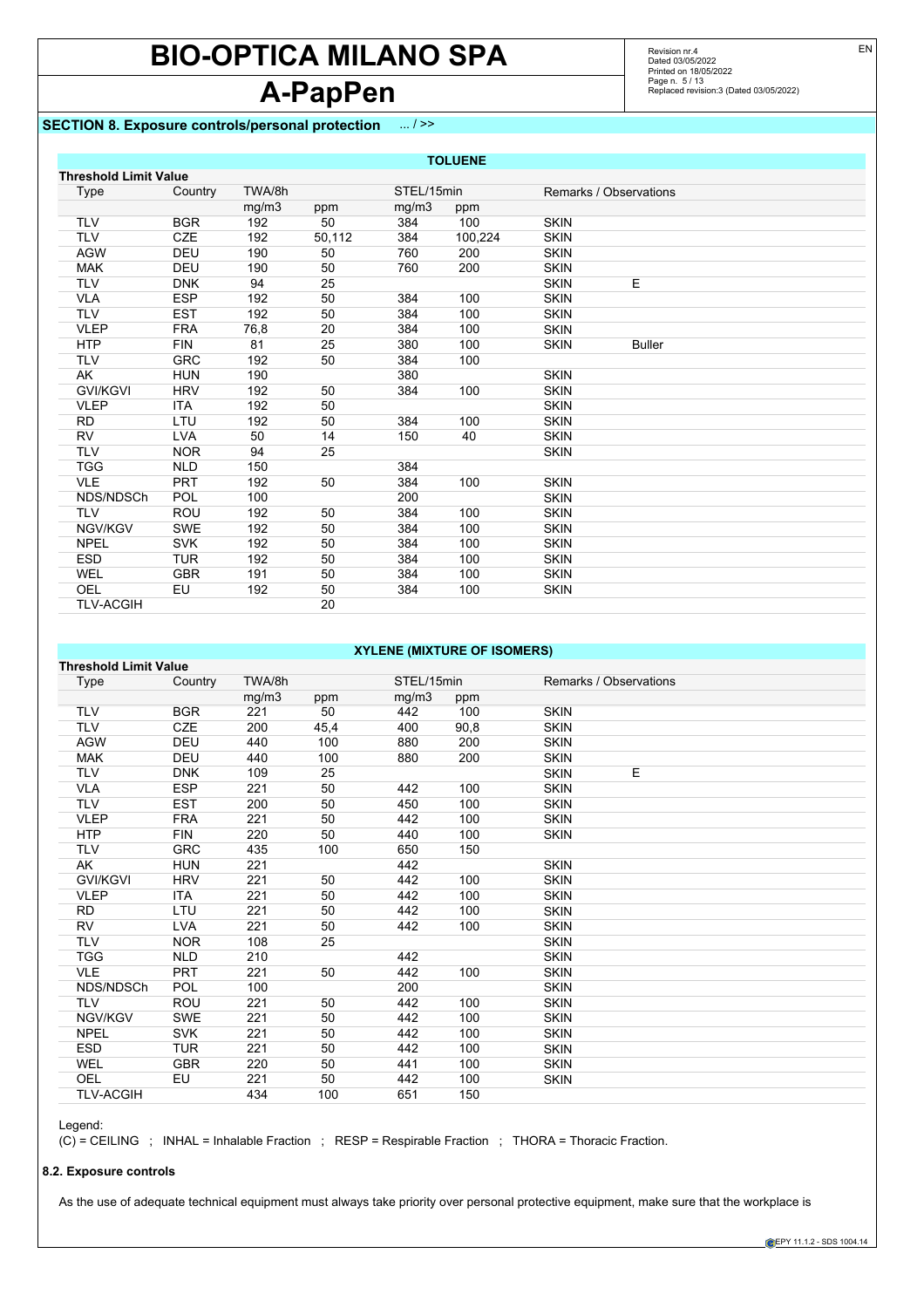# **A-PapPen**

## **SECTION 8. Exposure controls/personal protection** ... / >>

TLV-ACGIH 20

Revision nr.4 Dated 03/05/2022 Printed on 18/05/2022 Page n. 5 / 13 Replaced revision:3 (Dated 03/05/2022)

|                              |            |        |        |            | <b>TOLUENE</b> |             |                        |  |
|------------------------------|------------|--------|--------|------------|----------------|-------------|------------------------|--|
| <b>Threshold Limit Value</b> |            |        |        |            |                |             |                        |  |
| Type                         | Country    | TWA/8h |        | STEL/15min |                |             | Remarks / Observations |  |
|                              |            | mg/m3  | ppm    | mg/m3      | ppm            |             |                        |  |
| <b>TLV</b>                   | <b>BGR</b> | 192    | 50     | 384        | 100            | <b>SKIN</b> |                        |  |
| <b>TLV</b>                   | <b>CZE</b> | 192    | 50,112 | 384        | 100,224        | <b>SKIN</b> |                        |  |
| <b>AGW</b>                   | <b>DEU</b> | 190    | 50     | 760        | 200            | <b>SKIN</b> |                        |  |
| <b>MAK</b>                   | DEU        | 190    | 50     | 760        | 200            | <b>SKIN</b> |                        |  |
| <b>TLV</b>                   | <b>DNK</b> | 94     | 25     |            |                | <b>SKIN</b> | E                      |  |
| <b>VLA</b>                   | <b>ESP</b> | 192    | 50     | 384        | 100            | <b>SKIN</b> |                        |  |
| <b>TLV</b>                   | <b>EST</b> | 192    | 50     | 384        | 100            | <b>SKIN</b> |                        |  |
| <b>VLEP</b>                  | <b>FRA</b> | 76,8   | 20     | 384        | 100            | <b>SKIN</b> |                        |  |
| <b>HTP</b>                   | <b>FIN</b> | 81     | 25     | 380        | 100            | <b>SKIN</b> | <b>Buller</b>          |  |
| <b>TLV</b>                   | <b>GRC</b> | 192    | 50     | 384        | 100            |             |                        |  |
| AK                           | <b>HUN</b> | 190    |        | 380        |                | <b>SKIN</b> |                        |  |
| <b>GVI/KGVI</b>              | <b>HRV</b> | 192    | 50     | 384        | 100            | <b>SKIN</b> |                        |  |
| <b>VLEP</b>                  | <b>ITA</b> | 192    | 50     |            |                | <b>SKIN</b> |                        |  |
| <b>RD</b>                    | LTU        | 192    | 50     | 384        | 100            | <b>SKIN</b> |                        |  |
| <b>RV</b>                    | <b>LVA</b> | 50     | 14     | 150        | 40             | <b>SKIN</b> |                        |  |
| <b>TLV</b>                   | <b>NOR</b> | 94     | 25     |            |                | <b>SKIN</b> |                        |  |
| <b>TGG</b>                   | <b>NLD</b> | 150    |        | 384        |                |             |                        |  |
| <b>VLE</b>                   | <b>PRT</b> | 192    | 50     | 384        | 100            | <b>SKIN</b> |                        |  |
| NDS/NDSCh                    | <b>POL</b> | 100    |        | 200        |                | <b>SKIN</b> |                        |  |
| <b>TLV</b>                   | <b>ROU</b> | 192    | 50     | 384        | 100            | <b>SKIN</b> |                        |  |
| NGV/KGV                      | <b>SWE</b> | 192    | 50     | 384        | 100            | <b>SKIN</b> |                        |  |
| <b>NPEL</b>                  | <b>SVK</b> | 192    | 50     | 384        | 100            | <b>SKIN</b> |                        |  |
| <b>ESD</b>                   | <b>TUR</b> | 192    | 50     | 384        | 100            | <b>SKIN</b> |                        |  |
| <b>WEL</b>                   | <b>GBR</b> | 191    | 50     | 384        | 100            | <b>SKIN</b> |                        |  |
| OEL                          | EU         | 192    | 50     | 384        | 100            | <b>SKIN</b> |                        |  |

### **XYLENE (MIXTURE OF ISOMERS)**

| <b>Threshold Limit Value</b> |            |        |      |            |      |                        |  |
|------------------------------|------------|--------|------|------------|------|------------------------|--|
| <b>Type</b>                  | Country    | TWA/8h |      | STEL/15min |      | Remarks / Observations |  |
|                              |            | mg/m3  | ppm  | mg/m3      | ppm  |                        |  |
| <b>TLV</b>                   | <b>BGR</b> | 221    | 50   | 442        | 100  | <b>SKIN</b>            |  |
| <b>TLV</b>                   | <b>CZE</b> | 200    | 45,4 | 400        | 90,8 | <b>SKIN</b>            |  |
| <b>AGW</b>                   | DEU        | 440    | 100  | 880        | 200  | <b>SKIN</b>            |  |
| <b>MAK</b>                   | <b>DEU</b> | 440    | 100  | 880        | 200  | <b>SKIN</b>            |  |
| <b>TLV</b>                   | <b>DNK</b> | 109    | 25   |            |      | E<br><b>SKIN</b>       |  |
| <b>VLA</b>                   | <b>ESP</b> | 221    | 50   | 442        | 100  | <b>SKIN</b>            |  |
| <b>TLV</b>                   | <b>EST</b> | 200    | 50   | 450        | 100  | <b>SKIN</b>            |  |
| <b>VLEP</b>                  | <b>FRA</b> | 221    | 50   | 442        | 100  | <b>SKIN</b>            |  |
| <b>HTP</b>                   | <b>FIN</b> | 220    | 50   | 440        | 100  | <b>SKIN</b>            |  |
| <b>TLV</b>                   | <b>GRC</b> | 435    | 100  | 650        | 150  |                        |  |
| AK                           | <b>HUN</b> | 221    |      | 442        |      | <b>SKIN</b>            |  |
| <b>GVI/KGVI</b>              | <b>HRV</b> | 221    | 50   | 442        | 100  | <b>SKIN</b>            |  |
| <b>VLEP</b>                  | <b>ITA</b> | 221    | 50   | 442        | 100  | <b>SKIN</b>            |  |
| <b>RD</b>                    | LTU        | 221    | 50   | 442        | 100  | <b>SKIN</b>            |  |
| <b>RV</b>                    | <b>LVA</b> | 221    | 50   | 442        | 100  | <b>SKIN</b>            |  |
| <b>TLV</b>                   | <b>NOR</b> | 108    | 25   |            |      | <b>SKIN</b>            |  |
| <b>TGG</b>                   | <b>NLD</b> | 210    |      | 442        |      | <b>SKIN</b>            |  |
| <b>VLE</b>                   | <b>PRT</b> | 221    | 50   | 442        | 100  | <b>SKIN</b>            |  |
| NDS/NDSCh                    | <b>POL</b> | 100    |      | 200        |      | <b>SKIN</b>            |  |
| <b>TLV</b>                   | <b>ROU</b> | 221    | 50   | 442        | 100  | <b>SKIN</b>            |  |
| NGV/KGV                      | <b>SWE</b> | 221    | 50   | 442        | 100  | <b>SKIN</b>            |  |
| <b>NPEL</b>                  | <b>SVK</b> | 221    | 50   | 442        | 100  | <b>SKIN</b>            |  |
| <b>ESD</b>                   | <b>TUR</b> | 221    | 50   | 442        | 100  | <b>SKIN</b>            |  |
| WEL                          | <b>GBR</b> | 220    | 50   | 441        | 100  | <b>SKIN</b>            |  |
| <b>OEL</b>                   | EU         | 221    | 50   | 442        | 100  | <b>SKIN</b>            |  |
| <b>TLV-ACGIH</b>             |            | 434    | 100  | 651        | 150  |                        |  |

Legend:

(C) = CEILING ; INHAL = Inhalable Fraction ; RESP = Respirable Fraction ; THORA = Thoracic Fraction.

#### **8.2. Exposure controls**

As the use of adequate technical equipment must always take priority over personal protective equipment, make sure that the workplace is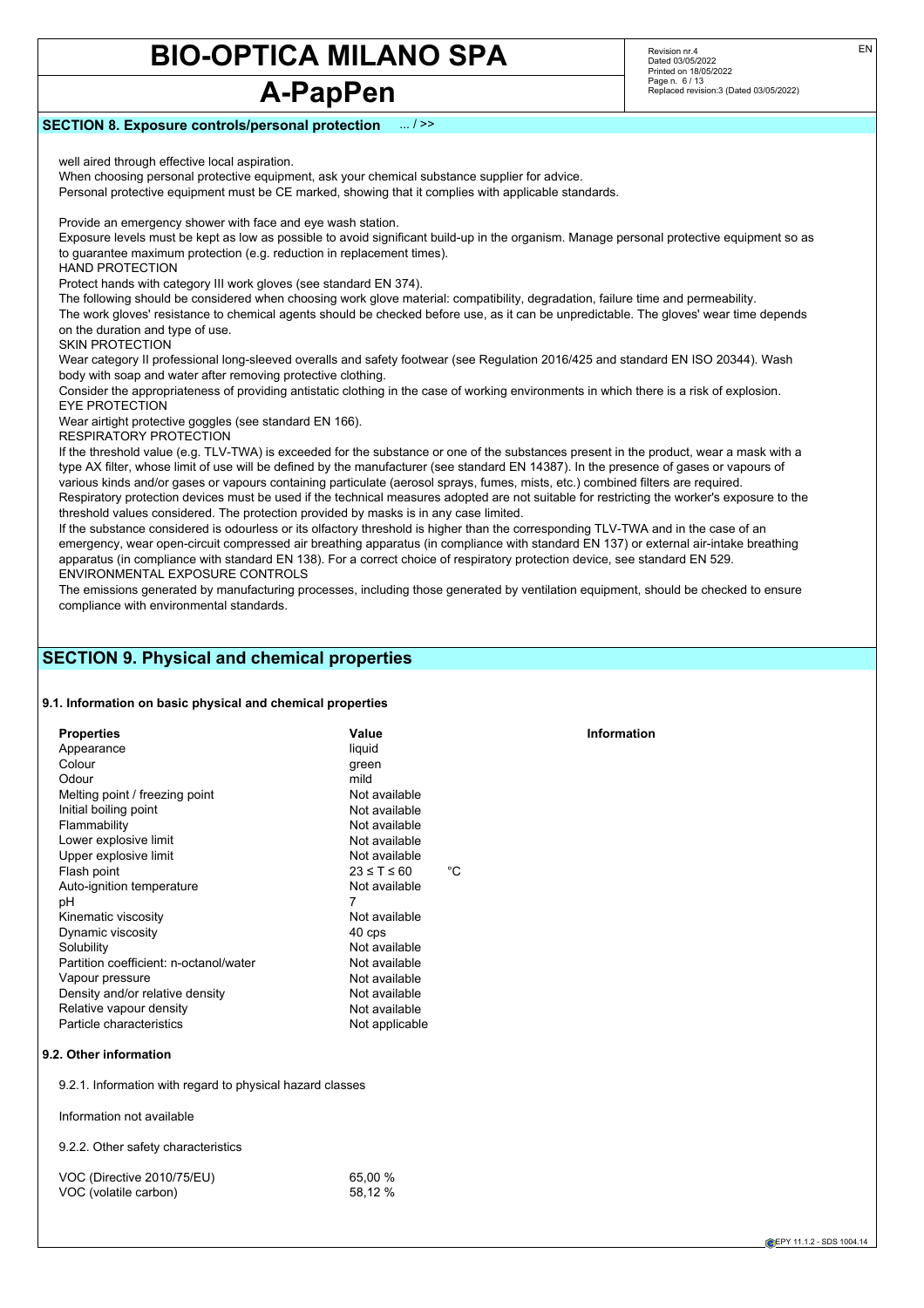## **A-PapPen**

Revision nr.4 Dated 03/05/2022 Printed on 18/05/2022 Page n. 6 / 13 Replaced revision:3 (Dated 03/05/2022)

#### **SECTION 8. Exposure controls/personal protection** ... / >>

well aired through effective local aspiration.

When choosing personal protective equipment, ask your chemical substance supplier for advice.

Personal protective equipment must be CE marked, showing that it complies with applicable standards.

Provide an emergency shower with face and eye wash station.

Exposure levels must be kept as low as possible to avoid significant build-up in the organism. Manage personal protective equipment so as to guarantee maximum protection (e.g. reduction in replacement times).

HAND PROTECTION

Protect hands with category III work gloves (see standard EN 374).

The following should be considered when choosing work glove material: compatibility, degradation, failure time and permeability. The work gloves' resistance to chemical agents should be checked before use, as it can be unpredictable. The gloves' wear time depends on the duration and type of use.

SKIN PROTECTION

Wear category II professional long-sleeved overalls and safety footwear (see Regulation 2016/425 and standard EN ISO 20344). Wash body with soap and water after removing protective clothing.

Consider the appropriateness of providing antistatic clothing in the case of working environments in which there is a risk of explosion. EYE PROTECTION

Wear airtight protective goggles (see standard EN 166).

RESPIRATORY PROTECTION

If the threshold value (e.g. TLV-TWA) is exceeded for the substance or one of the substances present in the product, wear a mask with a type AX filter, whose limit of use will be defined by the manufacturer (see standard EN 14387). In the presence of gases or vapours of various kinds and/or gases or vapours containing particulate (aerosol sprays, fumes, mists, etc.) combined filters are required. Respiratory protection devices must be used if the technical measures adopted are not suitable for restricting the worker's exposure to the threshold values considered. The protection provided by masks is in any case limited.

If the substance considered is odourless or its olfactory threshold is higher than the corresponding TLV-TWA and in the case of an emergency, wear open-circuit compressed air breathing apparatus (in compliance with standard EN 137) or external air-intake breathing apparatus (in compliance with standard EN 138). For a correct choice of respiratory protection device, see standard EN 529. ENVIRONMENTAL EXPOSURE CONTROLS

The emissions generated by manufacturing processes, including those generated by ventilation equipment, should be checked to ensure compliance with environmental standards.

## **SECTION 9. Physical and chemical properties**

#### **9.1. Information on basic physical and chemical properties**

| <b>Properties</b>                      | Value                     | <b>Information</b> |
|----------------------------------------|---------------------------|--------------------|
| Appearance                             | liquid                    |                    |
| Colour                                 | green                     |                    |
| Odour                                  | mild                      |                    |
| Melting point / freezing point         | Not available             |                    |
| Initial boiling point                  | Not available             |                    |
| Flammability                           | Not available             |                    |
| Lower explosive limit                  | Not available             |                    |
| Upper explosive limit                  | Not available             |                    |
| Flash point                            | °C<br>$23 \leq T \leq 60$ |                    |
| Auto-ignition temperature              | Not available             |                    |
| рH                                     | 7                         |                    |
| Kinematic viscosity                    | Not available             |                    |
| Dynamic viscosity                      | 40 cps                    |                    |
| Solubility                             | Not available             |                    |
| Partition coefficient: n-octanol/water | Not available             |                    |
| Vapour pressure                        | Not available             |                    |
| Density and/or relative density        | Not available             |                    |
| Relative vapour density                | Not available             |                    |
| Particle characteristics               | Not applicable            |                    |
|                                        |                           |                    |

#### **9.2. Other information**

9.2.1. Information with regard to physical hazard classes

Information not available

9.2.2. Other safety characteristics

| VOC (Directive 2010/75/EU) | 65,00 % |
|----------------------------|---------|
| VOC (volatile carbon)      | 58,12 % |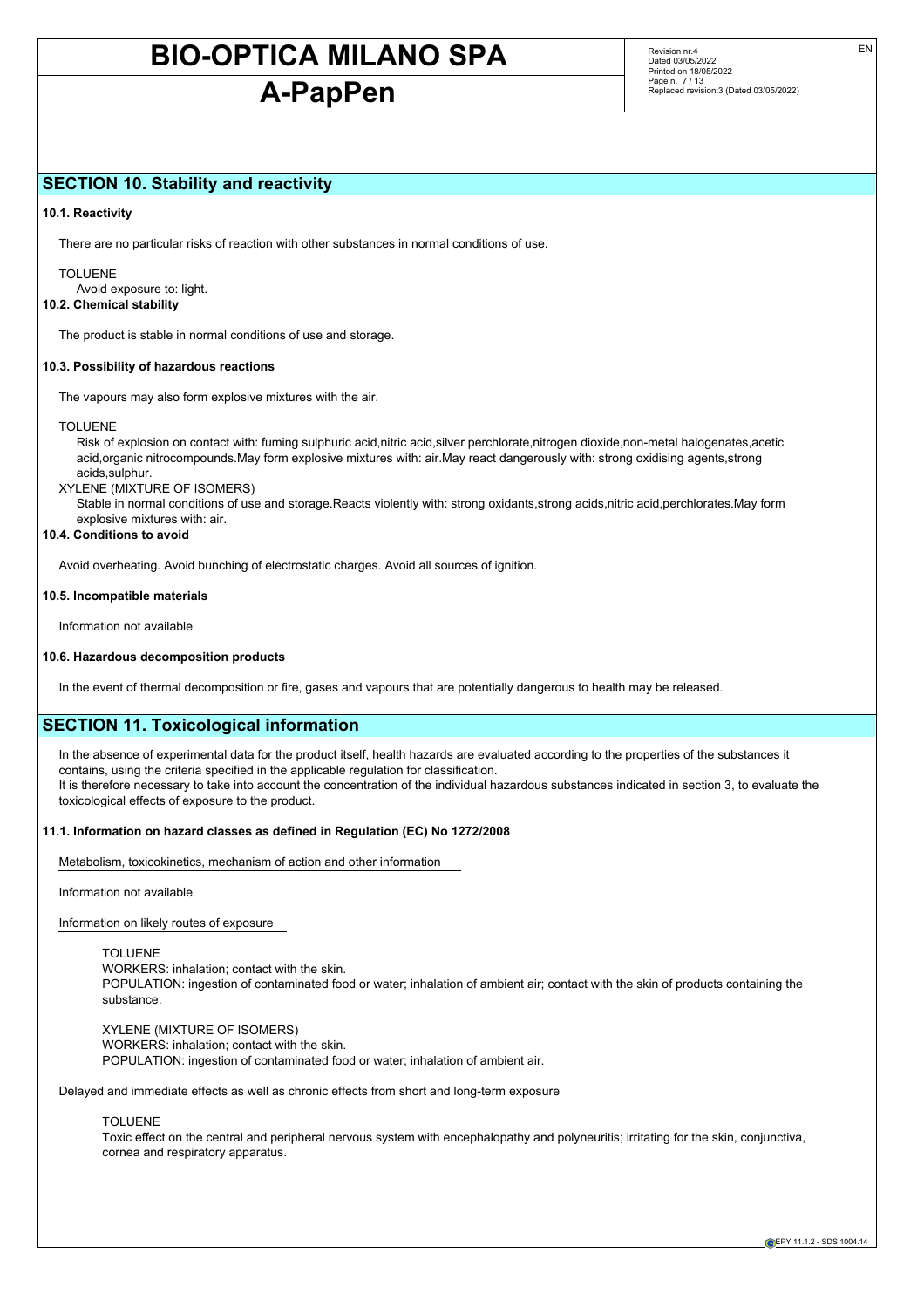## **A-PapPen**

Revision nr.4 Dated 03/05/2022 Printed on 18/05/2022 Page n. 7 / 13 Replaced revision:3 (Dated 03/05/2022)

### **SECTION 10. Stability and reactivity**

#### **10.1. Reactivity**

There are no particular risks of reaction with other substances in normal conditions of use.

TOLUENE Avoid exposure to: light.

**10.2. Chemical stability**

The product is stable in normal conditions of use and storage.

#### **10.3. Possibility of hazardous reactions**

The vapours may also form explosive mixtures with the air.

#### TOLUENE

Risk of explosion on contact with: fuming sulphuric acid,nitric acid,silver perchlorate,nitrogen dioxide,non-metal halogenates,acetic acid,organic nitrocompounds.May form explosive mixtures with: air.May react dangerously with: strong oxidising agents,strong acids,sulphur.

XYLENE (MIXTURE OF ISOMERS)

Stable in normal conditions of use and storage.Reacts violently with: strong oxidants,strong acids,nitric acid,perchlorates.May form explosive mixtures with: air.

#### **10.4. Conditions to avoid**

Avoid overheating. Avoid bunching of electrostatic charges. Avoid all sources of ignition.

#### **10.5. Incompatible materials**

Information not available

#### **10.6. Hazardous decomposition products**

In the event of thermal decomposition or fire, gases and vapours that are potentially dangerous to health may be released.

### **SECTION 11. Toxicological information**

In the absence of experimental data for the product itself, health hazards are evaluated according to the properties of the substances it contains, using the criteria specified in the applicable regulation for classification. It is therefore necessary to take into account the concentration of the individual hazardous substances indicated in section 3, to evaluate the toxicological effects of exposure to the product.

#### **11.1. Information on hazard classes as defined in Regulation (EC) No 1272/2008**

Metabolism, toxicokinetics, mechanism of action and other information

#### Information not available

Information on likely routes of exposure

#### TOLUENE

WORKERS: inhalation; contact with the skin. POPULATION: ingestion of contaminated food or water; inhalation of ambient air; contact with the skin of products containing the substance.

XYLENE (MIXTURE OF ISOMERS) WORKERS: inhalation; contact with the skin. POPULATION: ingestion of contaminated food or water; inhalation of ambient air.

Delayed and immediate effects as well as chronic effects from short and long-term exposure

#### TOLUENE

Toxic effect on the central and peripheral nervous system with encephalopathy and polyneuritis; irritating for the skin, conjunctiva, cornea and respiratory apparatus.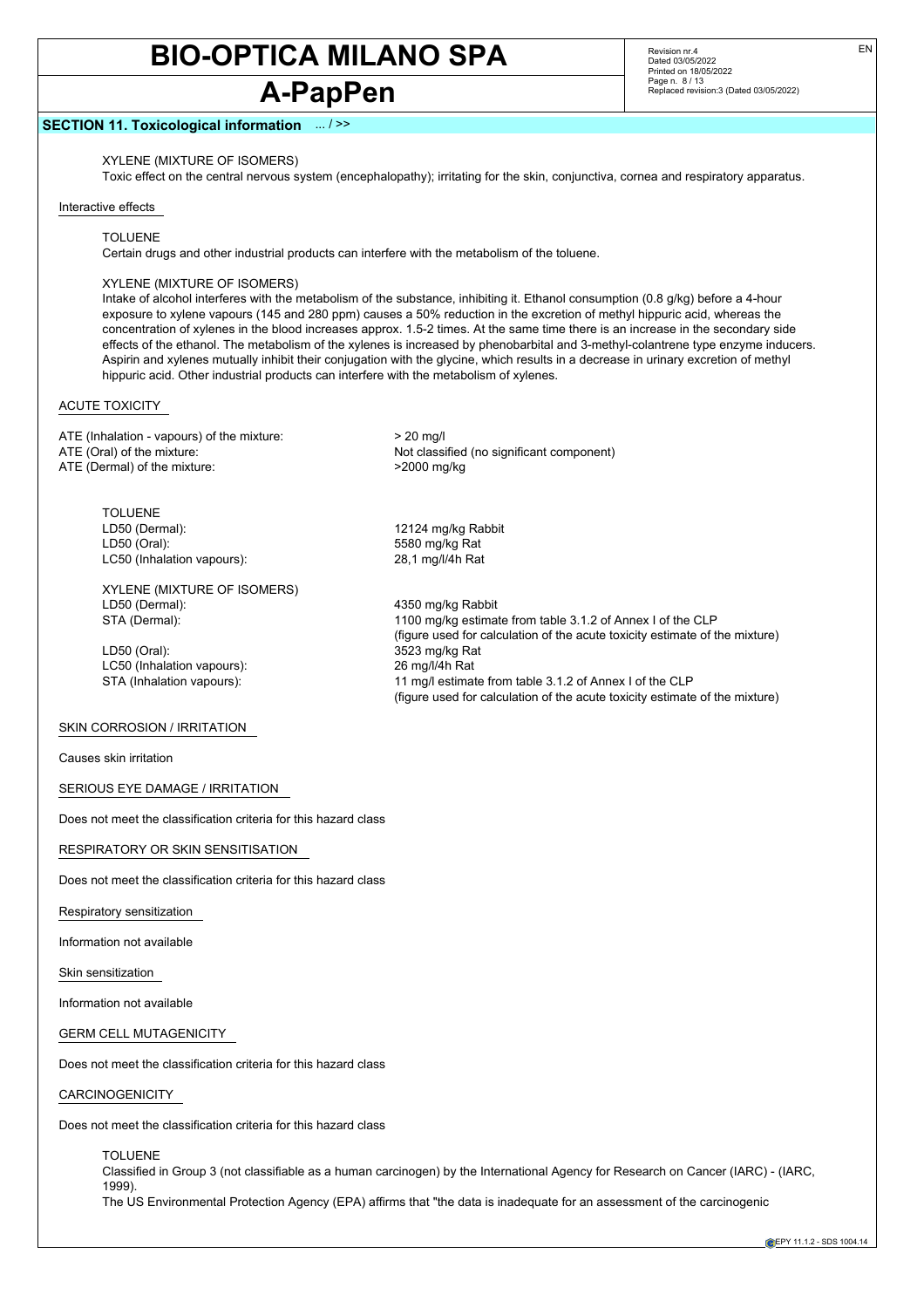# **A-PapPen**

Revision nr.4 Dated 03/05/2022 Printed on 18/05/2022 Page n. 8 / 13 Replaced revision:3 (Dated 03/05/2022)

#### **SECTION 11. Toxicological information** ... / >>

XYLENE (MIXTURE OF ISOMERS)

Toxic effect on the central nervous system (encephalopathy); irritating for the skin, conjunctiva, cornea and respiratory apparatus.

#### Interactive effects

#### TOLUENE

Certain drugs and other industrial products can interfere with the metabolism of the toluene.

#### XYLENE (MIXTURE OF ISOMERS)

Intake of alcohol interferes with the metabolism of the substance, inhibiting it. Ethanol consumption (0.8 g/kg) before a 4-hour exposure to xylene vapours (145 and 280 ppm) causes a 50% reduction in the excretion of methyl hippuric acid, whereas the concentration of xylenes in the blood increases approx. 1.5-2 times. At the same time there is an increase in the secondary side effects of the ethanol. The metabolism of the xylenes is increased by phenobarbital and 3-methyl-colantrene type enzyme inducers. Aspirin and xylenes mutually inhibit their conjugation with the glycine, which results in a decrease in urinary excretion of methyl hippuric acid. Other industrial products can interfere with the metabolism of xylenes.

#### ACUTE TOXICITY

ATE (Inhalation - vapours) of the mixture:  $> 20$  mg/l ATE (Oral) of the mixture:  $\overline{ATE}$  (Oral) of the mixture:  $\overline{ATE}$  (Dermal) of the mixture:  $\overline{ATE}$  (Dermal) of the mixture: ATE (Dermal) of the mixture:

1100 mg/kg estimate from table 3.1.2 of Annex I of the CLP

(figure used for calculation of the acute toxicity estimate of the mixture)

(figure used for calculation of the acute toxicity estimate of the mixture)

TOLUENE LD50 (Dermal): 12124 mg/kg Rabbit LD50 (Oral): 5580 mg/kg Rat LC50 (Inhalation vapours): 28,1 mg/l/4h Rat

XYLENE (MIXTURE OF ISOMERS) LD50 (Dermal):  $\begin{array}{ccc} 4350 \text{ mg/kg} \\ \text{STA (Dermal):} \end{array}$  4350 mg/kg estima

LD50 (Oral): 3523 mg/kg Rat LC50 (Inhalation vapours): 26 mg/l/4h Rat STA (Inhalation vapours): 11 mg/l estimate from table 3.1.2 of Annex I of the CLP

#### SKIN CORROSION / IRRITATION

Causes skin irritation

SERIOUS EYE DAMAGE / IRRITATION

Does not meet the classification criteria for this hazard class

#### RESPIRATORY OR SKIN SENSITISATION

Does not meet the classification criteria for this hazard class

Respiratory sensitization

Information not available

Skin sensitization

Information not available

GERM CELL MUTAGENICITY

Does not meet the classification criteria for this hazard class

#### CARCINOGENICITY

Does not meet the classification criteria for this hazard class

TOLUENE Classified in Group 3 (not classifiable as a human carcinogen) by the International Agency for Research on Cancer (IARC) - (IARC, 1999). The US Environmental Protection Agency (EPA) affirms that "the data is inadequate for an assessment of the carcinogenic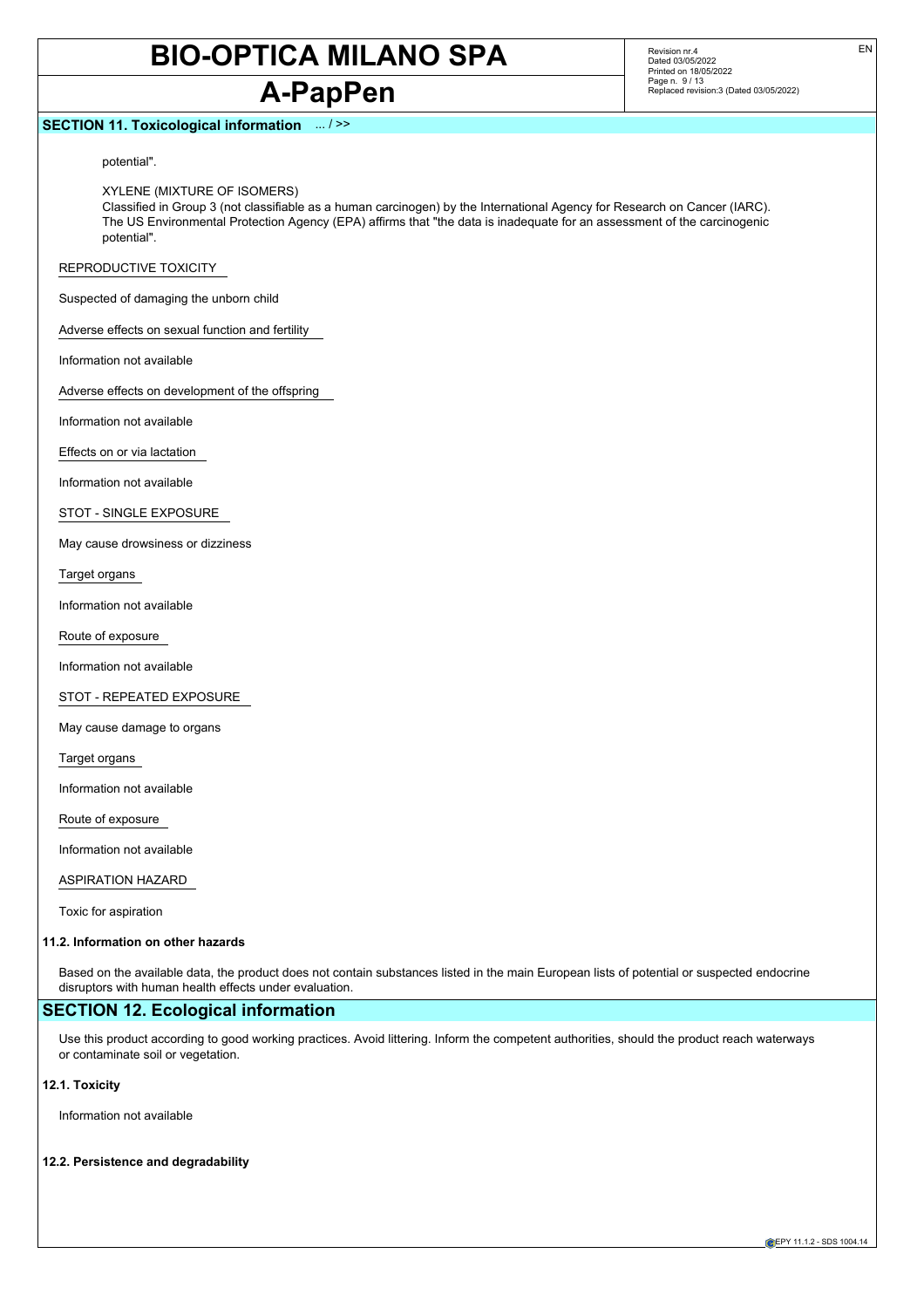# **A-PapPen**

#### **SECTION 11. Toxicological information** ... / >>

Revision nr.4 Dated 03/05/2022 Printed on 18/05/2022 Page n. 9 / 13 Replaced revision:3 (Dated 03/05/2022)

potential".

XYLENE (MIXTURE OF ISOMERS)

Classified in Group 3 (not classifiable as a human carcinogen) by the International Agency for Research on Cancer (IARC). The US Environmental Protection Agency (EPA) affirms that "the data is inadequate for an assessment of the carcinogenic potential".

REPRODUCTIVE TOXICITY

Suspected of damaging the unborn child

Adverse effects on sexual function and fertility

Information not available

Adverse effects on development of the offspring

Information not available

Effects on or via lactation

Information not available

STOT - SINGLE EXPOSURE

May cause drowsiness or dizziness

Target organs

Information not available

Route of exposure

Information not available

STOT - REPEATED EXPOSURE

May cause damage to organs

Target organs

Information not available

Route of exposure

Information not available

ASPIRATION HAZARD

Toxic for aspiration

#### **11.2. Information on other hazards**

Based on the available data, the product does not contain substances listed in the main European lists of potential or suspected endocrine disruptors with human health effects under evaluation.

### **SECTION 12. Ecological information**

Use this product according to good working practices. Avoid littering. Inform the competent authorities, should the product reach waterways or contaminate soil or vegetation.

**12.1. Toxicity**

Information not available

#### **12.2. Persistence and degradability**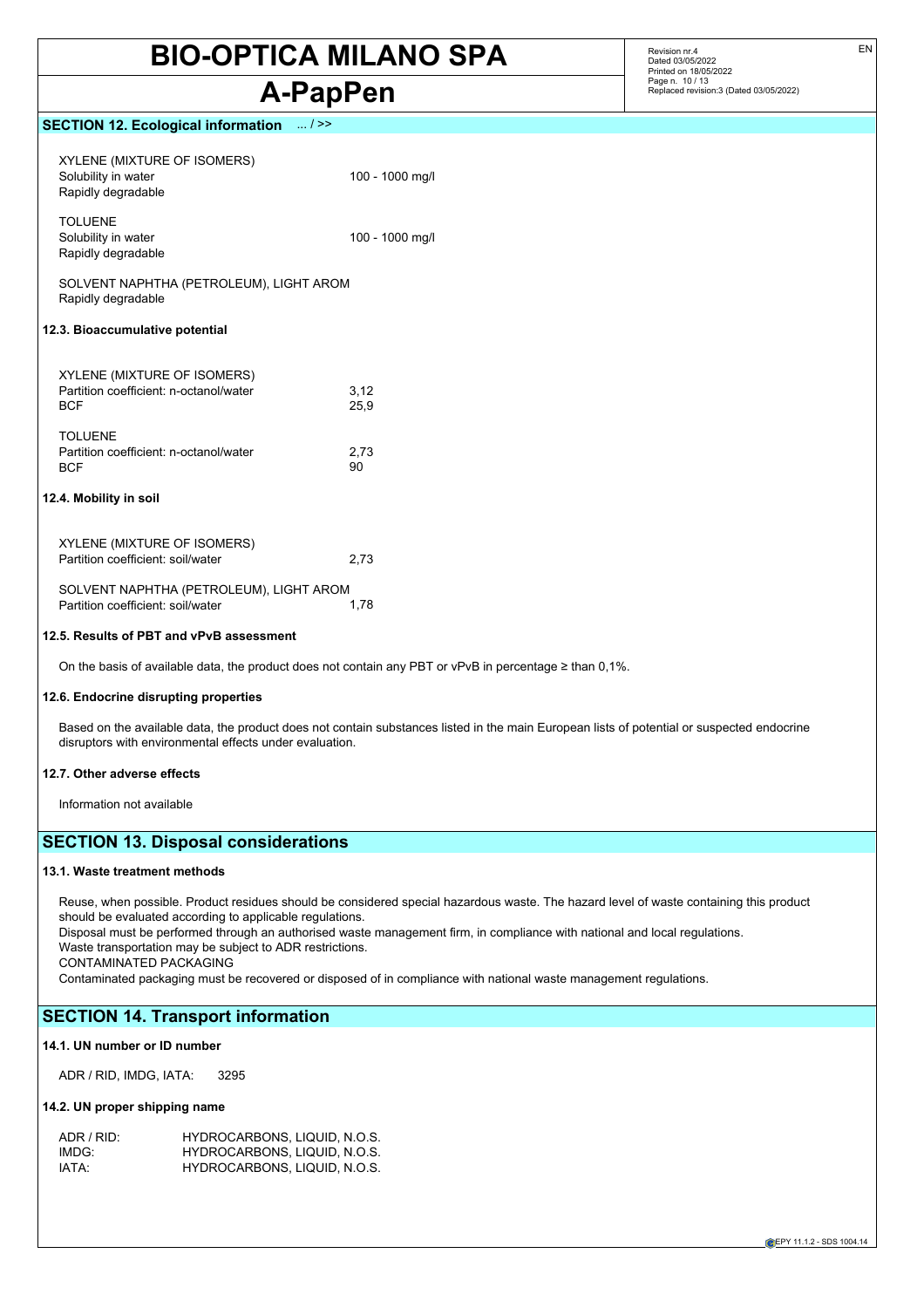# **A-PapPen**

Revision nr.4 Dated 03/05/2022 Printed on 18/05/2022 Page n. 10 / 13 Replaced revision:3 (Dated 03/05/2022)

### **SECTION 12. Ecological information** ... / >>

| XYLENE (MIXTURE OF ISOMERS)<br>Solubility in water<br>Rapidly degradable                   | 100 - 1000 mg/l |
|--------------------------------------------------------------------------------------------|-----------------|
| <b>TOLUENE</b><br>Solubility in water<br>Rapidly degradable                                | 100 - 1000 mg/l |
| SOLVENT NAPHTHA (PETROLEUM), LIGHT AROM<br>Rapidly degradable                              |                 |
| 12.3. Bioaccumulative potential                                                            |                 |
| <b>XYLENE (MIXTURE OF ISOMERS)</b><br>Partition coefficient: n-octanol/water<br><b>BCF</b> | 3,12<br>25,9    |
| <b>TOLUENE</b><br>Partition coefficient: n-octanol/water<br><b>BCF</b>                     | 2,73<br>90      |
| 12.4. Mobility in soil                                                                     |                 |
| XYLENE (MIXTURE OF ISOMERS)<br>Partition coefficient: soil/water                           | 2,73            |
| SOLVENT NAPHTHA (PETROLEUM), LIGHT AROM<br>Partition coefficient: soil/water               | 1,78            |

#### **12.5. Results of PBT and vPvB assessment**

On the basis of available data, the product does not contain any PBT or vPvB in percentage ≥ than 0,1%.

#### **12.6. Endocrine disrupting properties**

Based on the available data, the product does not contain substances listed in the main European lists of potential or suspected endocrine disruptors with environmental effects under evaluation.

#### **12.7. Other adverse effects**

Information not available

### **SECTION 13. Disposal considerations**

#### **13.1. Waste treatment methods**

Reuse, when possible. Product residues should be considered special hazardous waste. The hazard level of waste containing this product should be evaluated according to applicable regulations.

Disposal must be performed through an authorised waste management firm, in compliance with national and local regulations. Waste transportation may be subject to ADR restrictions.

CONTAMINATED PACKAGING

Contaminated packaging must be recovered or disposed of in compliance with national waste management regulations.

## **SECTION 14. Transport information**

#### **14.1. UN number or ID number**

ADR / RID, IMDG, IATA: 3295

#### **14.2. UN proper shipping name**

| ADR / RID:        | HYDROCARBONS, LIQUID, N.O.S. |
|-------------------|------------------------------|
| IMDG <sup>.</sup> | HYDROCARBONS, LIQUID, N.O.S. |
| IATA:             | HYDROCARBONS, LIQUID, N.O.S. |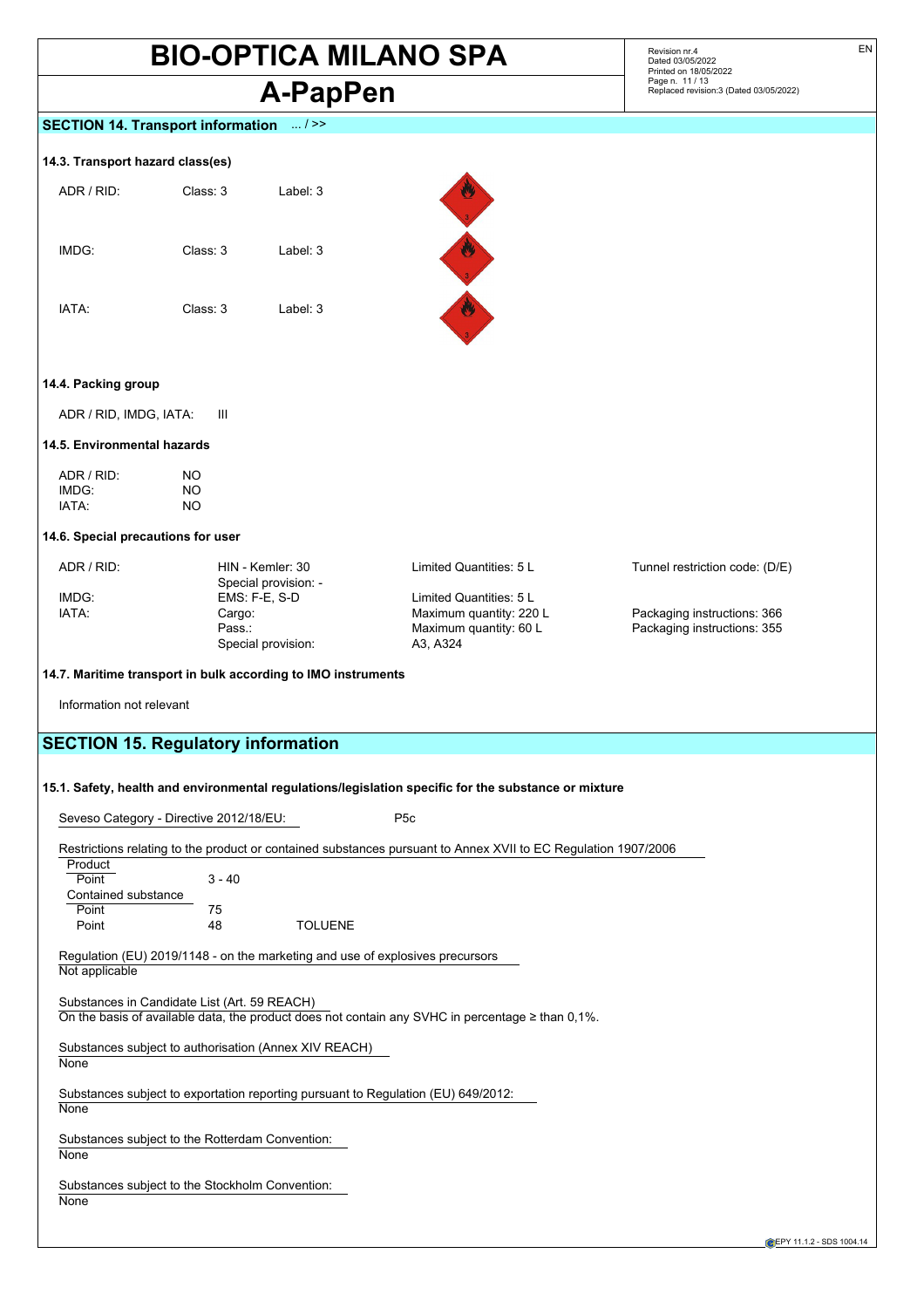# **A-PapPen**

Revision nr.4 Dated 03/05/2022 Printed on 18/05/2022 Page n. 11 / 13 Replaced revision:3 (Dated 03/05/2022)

### **SECTION 14. Transport information** ... / >>

#### **14.3. Transport hazard class(es)**

| ADR / RID: | Class: 3 | Label: 3 |
|------------|----------|----------|
| IMDG:      | Class: 3 | Label: 3 |
| IATA:      | Class: 3 | Label: 3 |



#### **14.4. Packing group**

ADR / RID, IMDG, IATA: III

#### **14.5. Environmental hazards**

| ADR / RID: | NO. |
|------------|-----|
| IMDG:      | NΟ  |
| IATA:      | NΟ  |

#### **14.6. Special precautions for user**

| ADR / RID: | HIN - Kemler: 30     | Limited Quantities: 5 L | Tunnel restriction code: (D/E) |
|------------|----------------------|-------------------------|--------------------------------|
|            | Special provision: - |                         |                                |
| IMDG:      | $EMS: F-E. S-D$      | Limited Quantities: 5 L |                                |
| IATA:      | Cargo:               | Maximum quantity: 220 L | Packaging instructions: 366    |
|            | Pass.:               | Maximum quantity: 60 L  | Packaging instructions: 355    |
|            | Special provision:   | A3. A324                |                                |

#### **14.7. Maritime transport in bulk according to IMO instruments**

Information not relevant

## **SECTION 15. Regulatory information**

#### **15.1. Safety, health and environmental regulations/legislation specific for the substance or mixture**

Seveso Category - Directive 2012/18/EU: P5c

Restrictions relating to the product or contained substances pursuant to Annex XVII to EC Regulation 1907/2006 Product Point 3 - 40 Contained substance Point 75<br>Point 48 **TOLUENE** Regulation (EU) 2019/1148 - on the marketing and use of explosives precursors Not applicable Substances in Candidate List (Art. 59 REACH) On the basis of available data, the product does not contain any SVHC in percentage ≥ than 0,1%. Substances subject to authorisation (Annex XIV REACH) **None** Substances subject to exportation reporting pursuant to Regulation (EU) 649/2012: None Substances subject to the Rotterdam Convention: **None** Substances subject to the Stockholm Convention: **None** 

EN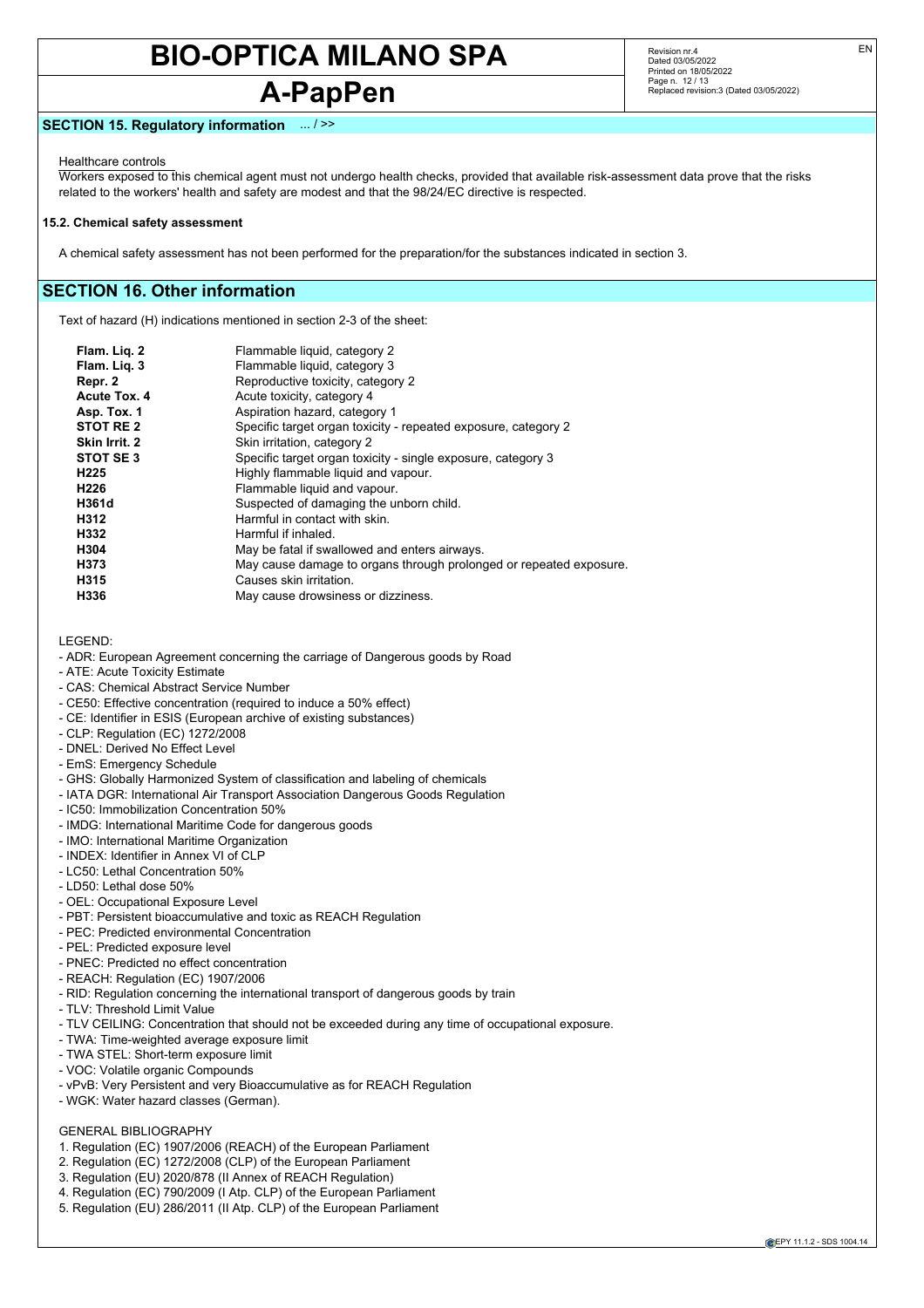# **A-PapPen**

Revision nr.4 Dated 03/05/2022 Printed on 18/05/2022 Page n. 12 / 13 Replaced revision:3 (Dated 03/05/2022)

#### **SECTION 15. Regulatory information** ... / >>

Healthcare controls

Workers exposed to this chemical agent must not undergo health checks, provided that available risk-assessment data prove that the risks related to the workers' health and safety are modest and that the 98/24/EC directive is respected.

#### **15.2. Chemical safety assessment**

A chemical safety assessment has not been performed for the preparation/for the substances indicated in section 3.

### **SECTION 16. Other information**

Text of hazard (H) indications mentioned in section 2-3 of the sheet:

| Flam. Lig. 2         | Flammable liquid, category 2                                       |
|----------------------|--------------------------------------------------------------------|
| Flam. Lig. 3         | Flammable liquid, category 3                                       |
| Repr. 2              | Reproductive toxicity, category 2                                  |
| Acute Tox. 4         | Acute toxicity, category 4                                         |
| Asp. Tox. 1          | Aspiration hazard, category 1                                      |
| STOT RE <sub>2</sub> | Specific target organ toxicity - repeated exposure, category 2     |
| Skin Irrit. 2        | Skin irritation, category 2                                        |
| STOT SE3             | Specific target organ toxicity - single exposure, category 3       |
| H <sub>225</sub>     | Highly flammable liquid and vapour.                                |
| H <sub>226</sub>     | Flammable liquid and vapour.                                       |
| H361d                | Suspected of damaging the unborn child.                            |
| H312                 | Harmful in contact with skin.                                      |
| H332                 | Harmful if inhaled.                                                |
| H304                 | May be fatal if swallowed and enters airways.                      |
| H373                 | May cause damage to organs through prolonged or repeated exposure. |
| H315                 | Causes skin irritation.                                            |
| H336                 | May cause drowsiness or dizziness.                                 |
|                      |                                                                    |

LEGEND:

- ADR: European Agreement concerning the carriage of Dangerous goods by Road
- ATE: Acute Toxicity Estimate
- CAS: Chemical Abstract Service Number
- CE50: Effective concentration (required to induce a 50% effect)
- CE: Identifier in ESIS (European archive of existing substances)
- CLP: Regulation (EC) 1272/2008
- DNEL: Derived No Effect Level
- EmS: Emergency Schedule
- GHS: Globally Harmonized System of classification and labeling of chemicals
- IATA DGR: International Air Transport Association Dangerous Goods Regulation
- IC50: Immobilization Concentration 50%
- IMDG: International Maritime Code for dangerous goods
- IMO: International Maritime Organization
- INDEX: Identifier in Annex VI of CLP
- LC50: Lethal Concentration 50%
- LD50: Lethal dose 50%
- OEL: Occupational Exposure Level
- PBT: Persistent bioaccumulative and toxic as REACH Regulation
- PEC: Predicted environmental Concentration
- PEL: Predicted exposure level
- PNEC: Predicted no effect concentration
- REACH: Regulation (EC) 1907/2006
- RID: Regulation concerning the international transport of dangerous goods by train
- TLV: Threshold Limit Value
- TLV CEILING: Concentration that should not be exceeded during any time of occupational exposure.
- TWA: Time-weighted average exposure limit
- TWA STEL: Short-term exposure limit
- VOC: Volatile organic Compounds
- vPvB: Very Persistent and very Bioaccumulative as for REACH Regulation
- WGK: Water hazard classes (German).

## GENERAL BIBLIOGRAPHY

- 1. Regulation (EC) 1907/2006 (REACH) of the European Parliament
- 2. Regulation (EC) 1272/2008 (CLP) of the European Parliament
- 3. Regulation (EU) 2020/878 (II Annex of REACH Regulation)
- 4. Regulation (EC) 790/2009 (I Atp. CLP) of the European Parliament
- 5. Regulation (EU) 286/2011 (II Atp. CLP) of the European Parliament